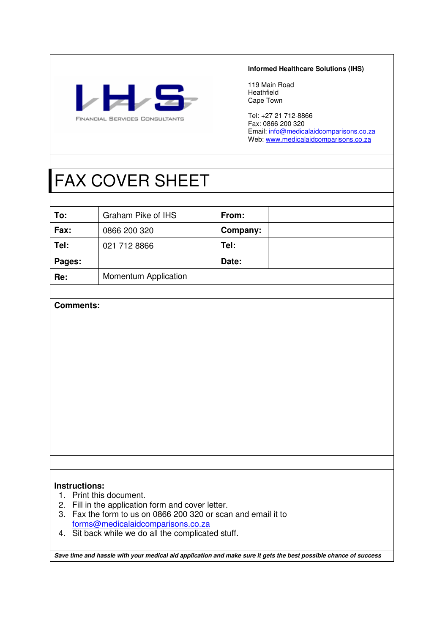

#### **Informed Healthcare Solutions (IHS)**

119 Main Road Heathfield Cape Town

Tel: +27 21 712-8866 Fax: 0866 200 320 Email: info@medicalaidcomparisons.co.za Web: www.medicalaidcomparisons.co.za

# FAX COVER SHEET

| To:    | Graham Pike of IHS   | From:    |  |
|--------|----------------------|----------|--|
| Fax:   | 0866 200 320         | Company: |  |
| Tel:   | 021 712 8866         | Tel:     |  |
| Pages: |                      | Date:    |  |
| Re:    | Momentum Application |          |  |

# **Comments:**

# **Instructions:**

- 1. Print this document.
- 2. Fill in the application form and cover letter.
- 3. Fax the form to us on 0866 200 320 or scan and email it to forms@medicalaidcomparisons.co.za
- 4. Sit back while we do all the complicated stuff.

**Save time and hassle with your medical aid application and make sure it gets the best possible chance of success**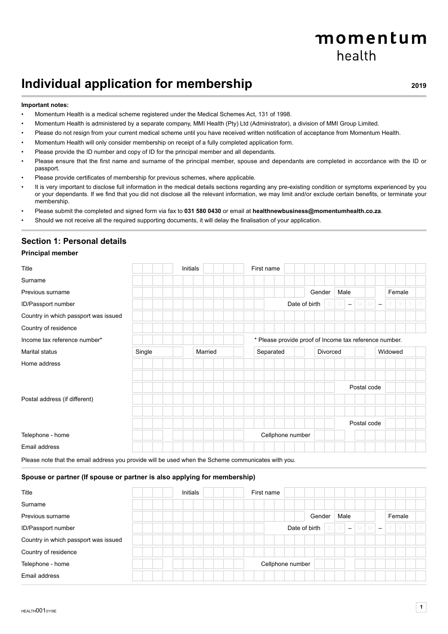# momentum health

# **Individual application for membership Property and AUST 10019** 2019

#### **Important notes:**

- Momentum Health is a medical scheme registered under the Medical Schemes Act, 131 of 1998.
- Momentum Health is administered by a separate company, MMI Health (Pty) Ltd (Administrator), a division of MMI Group Limited.
- Please do not resign from your current medical scheme until you have received written notification of acceptance from Momentum Health.
- Momentum Health will only consider membership on receipt of a fully completed application form.
- Please provide the ID number and copy of ID for the principal member and all dependants.
- Please ensure that the first name and surname of the principal member, spouse and dependants are completed in accordance with the ID or passport.
- Please provide certificates of membership for previous schemes, where applicable.
- It is very important to disclose full information in the medical details sections regarding any pre-existing condition or symptoms experienced by you or your dependants. If we find that you did not disclose all the relevant information, we may limit and/or exclude certain benefits, or terminate your membership.
- Please submit the completed and signed form via fax to **031 580 0430** or email at **healthnewbusiness@momentumhealth.co.za**.
- Should we not receive all the required supporting documents, it will delay the finalisation of your application.

#### **Section 1: Personal details**

#### **Principal member**

| Title                                |        |  | Initials |  | First name                                             |               |          |      |                   |                                     |   |         |  |
|--------------------------------------|--------|--|----------|--|--------------------------------------------------------|---------------|----------|------|-------------------|-------------------------------------|---|---------|--|
| Surname                              |        |  |          |  |                                                        |               |          |      |                   |                                     |   |         |  |
| Previous surname                     |        |  |          |  |                                                        |               | Gender   | Male |                   |                                     |   | Female  |  |
| ID/Passport number                   |        |  |          |  |                                                        | Date of birth |          |      | $\qquad \qquad -$ | $M$ $M$<br>$\overline{\phantom{m}}$ | Y | Y       |  |
| Country in which passport was issued |        |  |          |  |                                                        |               |          |      |                   |                                     |   |         |  |
| Country of residence                 |        |  |          |  |                                                        |               |          |      |                   |                                     |   |         |  |
| Income tax reference number*         |        |  |          |  | * Please provide proof of Income tax reference number. |               |          |      |                   |                                     |   |         |  |
| Marital status                       | Single |  | Married  |  | Separated                                              |               | Divorced |      |                   |                                     |   | Widowed |  |
| Home address                         |        |  |          |  |                                                        |               |          |      |                   |                                     |   |         |  |
| Postal address (if different)        |        |  |          |  |                                                        |               |          |      |                   | Postal code                         |   |         |  |
|                                      |        |  |          |  |                                                        |               |          |      |                   | Postal code                         |   |         |  |
| Telephone - home<br>Email address    |        |  |          |  | Cellphone number                                       |               |          |      |                   |                                     |   |         |  |

Please note that the email address you provide will be used when the Scheme communicates with you.

#### **Spouse or partner (If spouse or partner is also applying for membership)**

| Title                                | Initials | First name       |               |                          |                               |        |  |
|--------------------------------------|----------|------------------|---------------|--------------------------|-------------------------------|--------|--|
| Surname                              |          |                  |               |                          |                               |        |  |
| Previous surname                     |          |                  | Gender        | Male                     |                               | Female |  |
| ID/Passport number                   |          |                  | Date of birth | $\overline{\phantom{a}}$ | M<br>$\overline{\phantom{a}}$ | Y      |  |
| Country in which passport was issued |          |                  |               |                          |                               |        |  |
| Country of residence                 |          |                  |               |                          |                               |        |  |
| Telephone - home                     |          | Cellphone number |               |                          |                               |        |  |
| Email address                        |          |                  |               |                          |                               |        |  |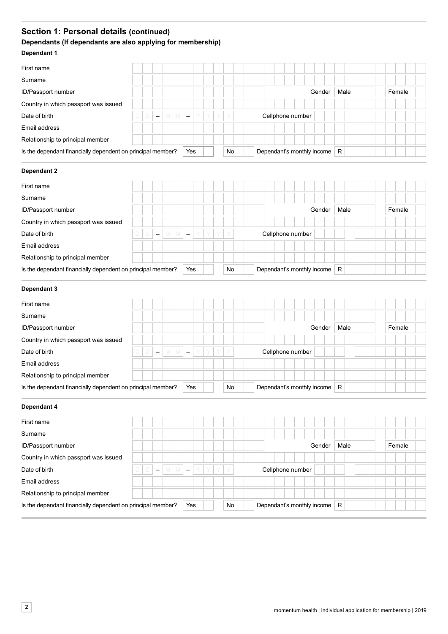# **Section 1: Personal details (continued)**

# **Dependants (If dependants are also applying for membership)**

### **Dependant 1**

| First name                                                  |   |   |                          |  |     |  |    |                            |                  |  |        |      |  |        |  |
|-------------------------------------------------------------|---|---|--------------------------|--|-----|--|----|----------------------------|------------------|--|--------|------|--|--------|--|
| Surname                                                     |   |   |                          |  |     |  |    |                            |                  |  |        |      |  |        |  |
| ID/Passport number                                          |   |   |                          |  |     |  |    |                            |                  |  | Gender | Male |  | Female |  |
| Country in which passport was issued                        |   |   |                          |  |     |  |    |                            |                  |  |        |      |  |        |  |
| Date of birth                                               | D | D | $\overline{\phantom{m}}$ |  |     |  | Y  |                            | Cellphone number |  |        |      |  |        |  |
| Email address                                               |   |   |                          |  |     |  |    |                            |                  |  |        |      |  |        |  |
| Relationship to principal member                            |   |   |                          |  |     |  |    |                            |                  |  |        |      |  |        |  |
| Is the dependant financially dependent on principal member? |   |   |                          |  | Yes |  | No | Dependant's monthly income |                  |  |        | R    |  |        |  |

#### **Dependant 2**

| First name                                                  |   |   |                          |   |      |                          |  |    |  |                  |  |                            |      |  |  |        |  |
|-------------------------------------------------------------|---|---|--------------------------|---|------|--------------------------|--|----|--|------------------|--|----------------------------|------|--|--|--------|--|
| Surname                                                     |   |   |                          |   |      |                          |  |    |  |                  |  |                            |      |  |  |        |  |
| ID/Passport number                                          |   |   |                          |   |      |                          |  |    |  |                  |  | Gender                     | Male |  |  | Female |  |
| Country in which passport was issued                        |   |   |                          |   |      |                          |  |    |  |                  |  |                            |      |  |  |        |  |
| Date of birth                                               | D | D | $\overline{\phantom{a}}$ | M | IVI. | $\overline{\phantom{a}}$ |  |    |  | Cellphone number |  |                            |      |  |  |        |  |
| Email address                                               |   |   |                          |   |      |                          |  |    |  |                  |  |                            |      |  |  |        |  |
| Relationship to principal member                            |   |   |                          |   |      |                          |  |    |  |                  |  |                            |      |  |  |        |  |
| Is the dependant financially dependent on principal member? |   |   |                          |   |      | Yes                      |  | No |  |                  |  | Dependant's monthly income | R    |  |  |        |  |

### **Dependant 3**

| First name                                                  |   |                          |   |                          |   |   |    |  |                  |  |                            |   |      |  |        |  |  |
|-------------------------------------------------------------|---|--------------------------|---|--------------------------|---|---|----|--|------------------|--|----------------------------|---|------|--|--------|--|--|
| Surname                                                     |   |                          |   |                          |   |   |    |  |                  |  |                            |   |      |  |        |  |  |
| ID/Passport number                                          |   |                          |   |                          |   |   |    |  |                  |  | Gender                     |   | Male |  | Female |  |  |
| Country in which passport was issued                        |   |                          |   |                          |   |   |    |  |                  |  |                            |   |      |  |        |  |  |
| Date of birth                                               | D | $\overline{\phantom{m}}$ | M | $\overline{\phantom{a}}$ | Y | Y | Y  |  | Cellphone number |  |                            |   |      |  |        |  |  |
| Email address                                               |   |                          |   |                          |   |   |    |  |                  |  |                            |   |      |  |        |  |  |
| Relationship to principal member                            |   |                          |   |                          |   |   |    |  |                  |  |                            |   |      |  |        |  |  |
| Is the dependant financially dependent on principal member? |   |                          |   | Yes                      |   |   | No |  |                  |  | Dependant's monthly income | R |      |  |        |  |  |

| Dependant 4                                                 |   |                          |        |                          |  |    |  |  |                  |                            |   |      |  |        |  |
|-------------------------------------------------------------|---|--------------------------|--------|--------------------------|--|----|--|--|------------------|----------------------------|---|------|--|--------|--|
| First name                                                  |   |                          |        |                          |  |    |  |  |                  |                            |   |      |  |        |  |
| Surname                                                     |   |                          |        |                          |  |    |  |  |                  |                            |   |      |  |        |  |
| ID/Passport number                                          |   |                          |        |                          |  |    |  |  |                  | Gender                     |   | Male |  | Female |  |
| Country in which passport was issued                        |   |                          |        |                          |  |    |  |  |                  |                            |   |      |  |        |  |
| Date of birth                                               | D | $\overline{\phantom{m}}$ | M<br>M | $\overline{\phantom{m}}$ |  | Y  |  |  | Cellphone number |                            |   |      |  |        |  |
| Email address                                               |   |                          |        |                          |  |    |  |  |                  |                            |   |      |  |        |  |
| Relationship to principal member                            |   |                          |        |                          |  |    |  |  |                  |                            |   |      |  |        |  |
| Is the dependant financially dependent on principal member? |   |                          |        | Yes                      |  | No |  |  |                  | Dependant's monthly income | R |      |  |        |  |
|                                                             |   |                          |        |                          |  |    |  |  |                  |                            |   |      |  |        |  |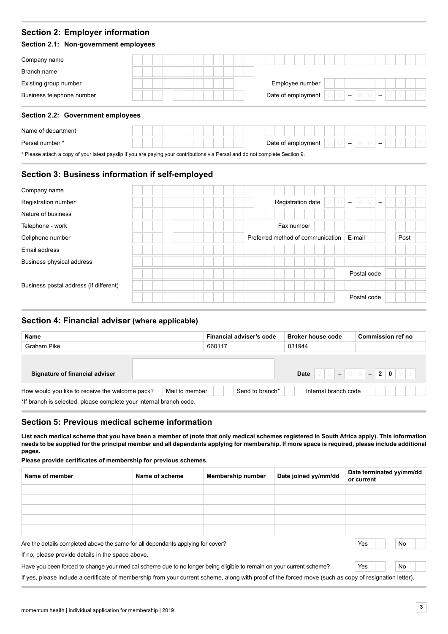# **Section 2: Employer information**

### **Section 2.1: Non-government employees**

| Company name              |  |  |  |  |  |  |                    |  |  |  |  |  |  |  |
|---------------------------|--|--|--|--|--|--|--------------------|--|--|--|--|--|--|--|
| Branch name               |  |  |  |  |  |  |                    |  |  |  |  |  |  |  |
| Existing group number     |  |  |  |  |  |  | Employee number    |  |  |  |  |  |  |  |
| Business telephone number |  |  |  |  |  |  | Date of employment |  |  |  |  |  |  |  |
|                           |  |  |  |  |  |  |                    |  |  |  |  |  |  |  |

# **Section 2.2: Government employees**

| Name of department                                                                                                          |  |  |  |  |  |  |  |                    |  |  |                          |  |  |  |  |
|-----------------------------------------------------------------------------------------------------------------------------|--|--|--|--|--|--|--|--------------------|--|--|--------------------------|--|--|--|--|
| Persal number *                                                                                                             |  |  |  |  |  |  |  | Date of employment |  |  | $\overline{\phantom{0}}$ |  |  |  |  |
| * Please attach a copy of your latest navelin if you are naving your contributions via Persal and do not complete Section 0 |  |  |  |  |  |  |  |                    |  |  |                          |  |  |  |  |

Please attach a copy of your latest payslip if you are paying your contributions via Persal and do not complete Section 9.

# **Section 3: Business information if self-employed**

| Company name                           |  |  |                                   |                          |        |                               |      |  |
|----------------------------------------|--|--|-----------------------------------|--------------------------|--------|-------------------------------|------|--|
| Registration number                    |  |  | Registration date                 | $\overline{\phantom{m}}$ | M      | M<br>$\overline{\phantom{0}}$ |      |  |
| Nature of business                     |  |  |                                   |                          |        |                               |      |  |
| Telephone - work                       |  |  | Fax number                        |                          |        |                               |      |  |
| Cellphone number                       |  |  | Preferred method of communication |                          | E-mail |                               | Post |  |
| Email address                          |  |  |                                   |                          |        |                               |      |  |
| Business physical address              |  |  |                                   |                          |        |                               |      |  |
|                                        |  |  |                                   |                          |        | Postal code                   |      |  |
| Business postal address (if different) |  |  |                                   |                          |        |                               |      |  |
|                                        |  |  |                                   |                          |        | Postal code                   |      |  |

# **Section 4: Financial adviser (where applicable)**

| Name                                                                                                                  |                | Financial adviser's code | <b>Broker house code</b>                                                                                                                                                                                                                | Commission ref no |
|-----------------------------------------------------------------------------------------------------------------------|----------------|--------------------------|-----------------------------------------------------------------------------------------------------------------------------------------------------------------------------------------------------------------------------------------|-------------------|
| Graham Pike                                                                                                           |                | 660117                   | 031944                                                                                                                                                                                                                                  |                   |
| Signature of financial adviser                                                                                        |                |                          | Date $\begin{bmatrix} \Box \Box \end{bmatrix}$ $\begin{bmatrix} \Box \end{bmatrix}$ $\begin{bmatrix} \Box \end{bmatrix}$ $\begin{bmatrix} \Box \end{bmatrix}$ $\begin{bmatrix} \Box \end{bmatrix}$ $\begin{bmatrix} \Box \end{bmatrix}$ | Y I Y             |
| How would you like to receive the welcome pack?<br>*If branch is selected, please complete your internal branch code. | Mail to member | Send to branch*          | Internal branch code                                                                                                                                                                                                                    |                   |

# **Section 5: Previous medical scheme information**

**List each medical scheme that you have been a member of (note that only medical schemes registered in South Africa apply). This information needs to be supplied for the principal member and all dependants applying for membership. If more space is required, please include additional pages.** 

**Please provide certificates of membership for previous schemes.**

| Name of member                                                                                   | Name of scheme | <b>Membership number</b> | Date joined yy/mm/dd | Date terminated yy/mm/dd<br>or current |
|--------------------------------------------------------------------------------------------------|----------------|--------------------------|----------------------|----------------------------------------|
|                                                                                                  |                |                          |                      |                                        |
|                                                                                                  |                |                          |                      |                                        |
|                                                                                                  |                |                          |                      |                                        |
|                                                                                                  |                |                          |                      |                                        |
|                                                                                                  |                |                          |                      |                                        |
| Crossed paintings are atomorphisms and comparison and proportional painting of the Atlanta Cross |                |                          |                      | N <sub>1</sub><br>$\sqrt{2}$           |

Are the details completed above the same for all dependants applying for cover? No No No No No No No No No No No

If no, please provide details in the space above.

Have you been forced to change your medical scheme due to no longer being eligible to remain on your current scheme? Yes No

If yes, please include a certificate of membership from your current scheme, along with proof of the forced move (such as copy of resignation letter).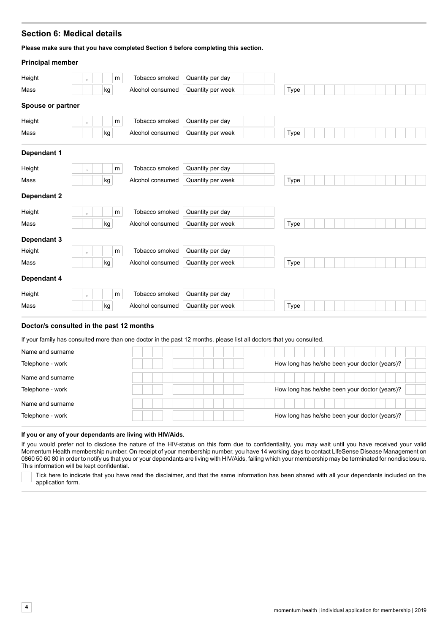# **Section 6: Medical details**

**Please make sure that you have completed Section 5 before completing this section.**

| <b>Principal member</b> |                    |    |   |                  |                   |      |  |  |  |  |  |
|-------------------------|--------------------|----|---|------------------|-------------------|------|--|--|--|--|--|
| Height                  | $\bullet$          |    | m | Tobacco smoked   | Quantity per day  |      |  |  |  |  |  |
| Mass                    |                    | kg |   | Alcohol consumed | Quantity per week | Type |  |  |  |  |  |
| Spouse or partner       |                    |    |   |                  |                   |      |  |  |  |  |  |
| Height                  | $\bullet$          |    | m | Tobacco smoked   | Quantity per day  |      |  |  |  |  |  |
| Mass                    |                    | kg |   | Alcohol consumed | Quantity per week | Type |  |  |  |  |  |
| <b>Dependant 1</b>      |                    |    |   |                  |                   |      |  |  |  |  |  |
| Height                  | $\mathbf{r}$       |    | m | Tobacco smoked   | Quantity per day  |      |  |  |  |  |  |
| Mass                    |                    | kg |   | Alcohol consumed | Quantity per week | Type |  |  |  |  |  |
| Dependant 2             |                    |    |   |                  |                   |      |  |  |  |  |  |
| Height                  | $\bullet$          |    | m | Tobacco smoked   | Quantity per day  |      |  |  |  |  |  |
| Mass                    |                    | kg |   | Alcohol consumed | Quantity per week | Type |  |  |  |  |  |
| Dependant 3             |                    |    |   |                  |                   |      |  |  |  |  |  |
| Height                  | $\mathbf{r}$       |    | m | Tobacco smoked   | Quantity per day  |      |  |  |  |  |  |
| Mass                    |                    | kg |   | Alcohol consumed | Quantity per week | Type |  |  |  |  |  |
| Dependant 4             |                    |    |   |                  |                   |      |  |  |  |  |  |
| Height                  | $\bar{\mathbf{r}}$ |    | m | Tobacco smoked   | Quantity per day  |      |  |  |  |  |  |
| Mass                    |                    | kg |   | Alcohol consumed | Quantity per week | Type |  |  |  |  |  |
|                         |                    |    |   |                  |                   |      |  |  |  |  |  |

#### **Doctor/s consulted in the past 12 months**

If your family has consulted more than one doctor in the past 12 months, please list all doctors that you consulted.

| Name and surname |  |                                               |
|------------------|--|-----------------------------------------------|
| Telephone - work |  | How long has he/she been your doctor (years)? |
| Name and surname |  |                                               |
| Telephone - work |  | How long has he/she been your doctor (years)? |
| Name and surname |  |                                               |
| Telephone - work |  | How long has he/she been your doctor (years)? |

#### **If you or any of your dependants are living with HIV/Aids.**

If you would prefer not to disclose the nature of the HIV-status on this form due to confidentiality, you may wait until you have received your valid Momentum Health membership number. On receipt of your membership number, you have 14 working days to contact LifeSense Disease Management on 0860 50 60 80 in order to notify us that you or your dependants are living with HIV/Aids, failing which your membership may be terminated for nondisclosure. This information will be kept confidential.

Tick here to indicate that you have read the disclaimer, and that the same information has been shared with all your dependants included on the application form.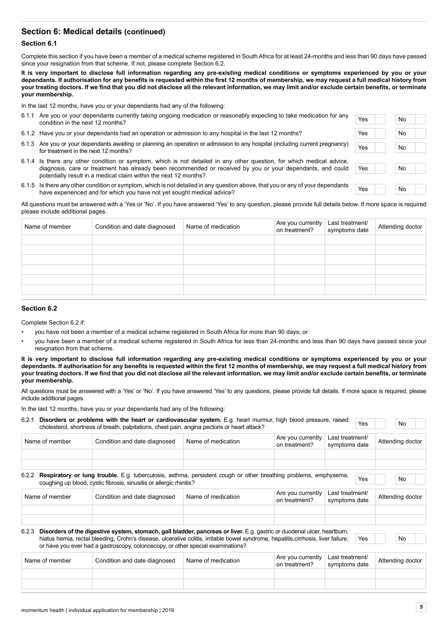# **Section 6: Medical details (continued)**

#### **Section 6.1**

Complete this section if you have been a member of a medical scheme registered in South Africa for at least 24-months and less than 90 days have passed since your resignation from that scheme. If not, please complete Section 6.2.

**It is very important to disclose full information regarding any pre-existing medical conditions or symptoms experienced by you or your dependants. If authorisation for any benefits is requested within the first 12 months of membership, we may request a full medical history from your treating doctors. If we find that you did not disclose all the relevant information, we may limit and/or exclude certain benefits, or terminate your membership.**

In the last 12 months, have you or your dependants had any of the following:

| 6.1.1 | Are you or your dependants currently taking ongoing medication or reasonably expecting to take medication for any<br>condition in the next 12 months?                                                                                                                                             | Yes | No |  |
|-------|---------------------------------------------------------------------------------------------------------------------------------------------------------------------------------------------------------------------------------------------------------------------------------------------------|-----|----|--|
|       | 6.1.2 Have you or your dependants had an operation or admission to any hospital in the last 12 months?                                                                                                                                                                                            | Yes | No |  |
|       | 6.1.3 Are you or your dependants awaiting or planning an operation or admission to any hospital (including current pregnancy)<br>for treatment in the next 12 months?                                                                                                                             | Yes | No |  |
| 6.1.4 | Is there any other condition or symptom, which is not detailed in any other question, for which medical advice,<br>diagnosis, care or treatment has already been recommended or received by you or your dependants, and could<br>potentially result in a medical claim within the next 12 months? | Yes | No |  |
|       | $6.15$ lethere any other condition or symptom which is not detailed in any question above that you arony of your dependents                                                                                                                                                                       |     |    |  |

6.1.5 Is there any other condition or symptom, which is not detailed in any question above, that you or any of your dependants have experienced and for which you have not yet sought medical advice?<br>have experienced and for which you have not yet sought medical advice?

All questions must be answered with a 'Yes or 'No'. If you have answered 'Yes' to any question, please provide full details below. If more space is required please include additional pages.

| Name of member | Condition and date diagnosed | Name of medication | Are you currently<br>on treatment? | Last treatment/<br>symptoms date | Attending doctor |
|----------------|------------------------------|--------------------|------------------------------------|----------------------------------|------------------|
|                |                              |                    |                                    |                                  |                  |
|                |                              |                    |                                    |                                  |                  |
|                |                              |                    |                                    |                                  |                  |
|                |                              |                    |                                    |                                  |                  |
|                |                              |                    |                                    |                                  |                  |
|                |                              |                    |                                    |                                  |                  |
|                |                              |                    |                                    |                                  |                  |

#### **Section 6.2**

Complete Section 6.2 if:

- you have not been a member of a medical scheme registered in South Africa for more than 90 days; or
- you have been a member of a medical scheme registered in South Africa for less than 24-months and less than 90 days have passed since your resignation from that scheme.

**It is very important to disclose full information regarding any pre-existing medical conditions or symptoms experienced by you or your dependants. If authorisation for any benefits is requested within the first 12 months of membership, we may request a full medical history from your treating doctors. If we find that you did not disclose all the relevant information, we may limit and/or exclude certain benefits, or terminate your membership.**

All questions must be answered with a 'Yes' or 'No'. If you have answered 'Yes' to any questions, please provide full details. If more space is required, please include additional pages.

In the last 12 months, have you or your dependants had any of the following:

|  | 5.2.1 Disorders or problems with the heart or cardiovascular system. E.g. heart murmur, high blood pressure, raised<br>cholesterol, shortness of breath, palpitations, chest pain, angina pectoris or heart attack? |                                  |  | No |
|--|---------------------------------------------------------------------------------------------------------------------------------------------------------------------------------------------------------------------|----------------------------------|--|----|
|  |                                                                                                                                                                                                                     | Aro vou ourrantly Loot trootmont |  |    |

| Name of member | Condition and date diagnosed                                                                                                                                                                                                                                                                                                                      | Name of medication | Are you currently<br>on treatment? | Last treatment/<br>symptoms date | Attending doctor |  |
|----------------|---------------------------------------------------------------------------------------------------------------------------------------------------------------------------------------------------------------------------------------------------------------------------------------------------------------------------------------------------|--------------------|------------------------------------|----------------------------------|------------------|--|
| 6.2.2          | <b>Respiratory or lung trouble.</b> E.g. tuberculosis, asthma, persistent cough or other breathing problems, emphysema,<br>coughing up blood, cystic fibrosis, sinusitis or allergic rhinitis?                                                                                                                                                    |                    |                                    | Yes                              | No.              |  |
| Name of member | Condition and date diagnosed                                                                                                                                                                                                                                                                                                                      | Name of medication | Are you currently<br>on treatment? | Last treatment/<br>symptoms date | Attending doctor |  |
| 6.2.3          | Disorders of the digestive system, stomach, gall bladder, pancreas or liver. E.g. gastric or duodenal ulcer, heartburn,<br>hiatus hernia, rectal bleeding, Crohn's disease, ulcerative colitis, irritable bowel syndrome, hepatitis, cirrhosis, liver failure,<br>or have you ever had a gastroscopy, colonoscopy, or other special examinations? |                    |                                    | Yes                              | No               |  |
| Name of member | Condition and date diagnosed                                                                                                                                                                                                                                                                                                                      | Name of medication | Are you currently<br>on treatment? | Last treatment/<br>symptoms date | Attending doctor |  |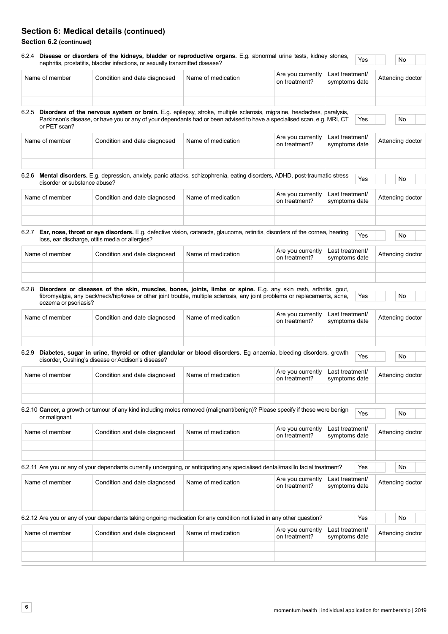# **Section 6: Medical details (continued)**

# **Section 6.2 (continued)**

|                                       |                                                                                                                                                                                                                                                       |                    | Are you currently                  | Last treatment/                  |     |                  |  |
|---------------------------------------|-------------------------------------------------------------------------------------------------------------------------------------------------------------------------------------------------------------------------------------------------------|--------------------|------------------------------------|----------------------------------|-----|------------------|--|
| Name of member                        | Condition and date diagnosed                                                                                                                                                                                                                          | Name of medication | on treatment?                      | symptoms date                    |     | Attending doctor |  |
| or PET scan?                          | 6.2.5 Disorders of the nervous system or brain. E.g. epilepsy, stroke, multiple sclerosis, migraine, headaches, paralysis,<br>Parkinson's disease, or have you or any of your dependants had or been advised to have a specialised scan, e.g. MRI, CT |                    |                                    |                                  | Yes | No               |  |
| Name of member                        | Condition and date diagnosed                                                                                                                                                                                                                          | Name of medication | Are you currently<br>on treatment? | Last treatment/<br>symptoms date |     | Attending doctor |  |
| 6.2.6<br>disorder or substance abuse? | Mental disorders. E.g. depression, anxiety, panic attacks, schizophrenia, eating disorders, ADHD, post-traumatic stress                                                                                                                               |                    |                                    |                                  | Yes | No               |  |
| Name of member                        | Condition and date diagnosed                                                                                                                                                                                                                          | Name of medication | Are you currently<br>on treatment? | Last treatment/<br>symptoms date |     | Attending doctor |  |
|                                       | 6.2.7 Ear, nose, throat or eye disorders. E.g. defective vision, cataracts, glaucoma, retinitis, disorders of the cornea, hearing<br>loss, ear discharge, otitis media or allergies?                                                                  |                    |                                    |                                  | Yes | No               |  |
| Name of member                        | Condition and date diagnosed                                                                                                                                                                                                                          | Name of medication | Are you currently<br>on treatment? | Last treatment/<br>symptoms date |     | Attending doctor |  |
|                                       |                                                                                                                                                                                                                                                       |                    |                                    |                                  |     |                  |  |
| 6.2.8<br>eczema or psoriasis?         | Disorders or diseases of the skin, muscles, bones, joints, limbs or spine. E.g. any skin rash, arthritis, gout,<br>fibromyalgia, any back/neck/hip/knee or other joint trouble, multiple sclerosis, any joint problems or replacements, acne,         |                    |                                    |                                  | Yes | No               |  |
| Name of member                        | Condition and date diagnosed                                                                                                                                                                                                                          | Name of medication | Are you currently<br>on treatment? | Last treatment/<br>symptoms date |     | Attending doctor |  |
| 6.2.9                                 | Diabetes, sugar in urine, thyroid or other glandular or blood disorders. Eg anaemia, bleeding disorders, growth<br>disorder, Cushing's disease or Addison's disease?                                                                                  |                    |                                    |                                  | Yes | No               |  |
| Name of member                        | Condition and date diagnosed                                                                                                                                                                                                                          | Name of medication | Are you currently<br>on treatment? | Last treatment/<br>symptoms date |     | Attending doctor |  |
| or malignant.                         | 6.2.10 Cancer, a growth or tumour of any kind including moles removed (malignant/benign)? Please specify if these were benign                                                                                                                         |                    |                                    |                                  | Yes | No               |  |
| Name of member                        | Condition and date diagnosed                                                                                                                                                                                                                          | Name of medication | Are you currently<br>on treatment? | Last treatment/<br>symptoms date |     | Attending doctor |  |
|                                       | 6.2.11 Are you or any of your dependants currently undergoing, or anticipating any specialised dental/maxillo facial treatment?                                                                                                                       |                    |                                    |                                  | Yes | No               |  |
| Name of member                        | Condition and date diagnosed                                                                                                                                                                                                                          | Name of medication | Are you currently<br>on treatment? | Last treatment/<br>symptoms date |     | Attending doctor |  |
|                                       | 6.2.12 Are you or any of your dependants taking ongoing medication for any condition not listed in any other question?                                                                                                                                |                    |                                    |                                  | Yes | No               |  |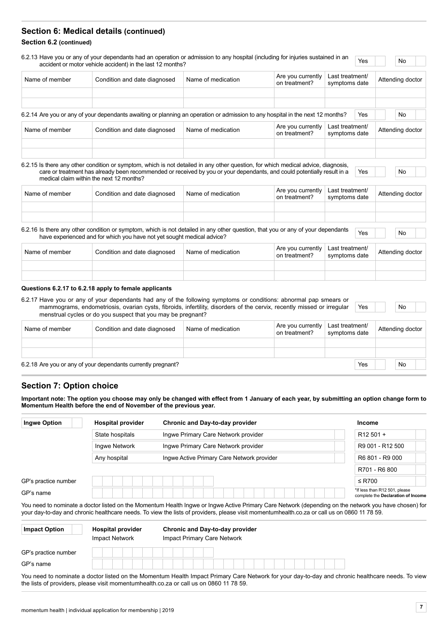# **Section 6: Medical details (continued)**

#### **Section 6.2 (continued)**

|                | accident or motor vehicle accident) in the last 12 months?                                                                                                                                                                                                                                               |                    |                                    | Last treatment/                  |     |                  |                  |  |
|----------------|----------------------------------------------------------------------------------------------------------------------------------------------------------------------------------------------------------------------------------------------------------------------------------------------------------|--------------------|------------------------------------|----------------------------------|-----|------------------|------------------|--|
| Name of member | Condition and date diagnosed                                                                                                                                                                                                                                                                             | Name of medication | Are you currently<br>on treatment? | symptoms date                    |     | Attending doctor |                  |  |
|                |                                                                                                                                                                                                                                                                                                          |                    |                                    |                                  |     |                  |                  |  |
|                | 6.2.14 Are you or any of your dependants awaiting or planning an operation or admission to any hospital in the next 12 months?                                                                                                                                                                           |                    |                                    |                                  | Yes |                  | No               |  |
| Name of member | Condition and date diagnosed                                                                                                                                                                                                                                                                             | Name of medication | Are you currently<br>on treatment? | Last treatment/<br>symptoms date |     |                  | Attending doctor |  |
|                |                                                                                                                                                                                                                                                                                                          |                    |                                    |                                  |     |                  |                  |  |
|                |                                                                                                                                                                                                                                                                                                          |                    |                                    |                                  |     |                  |                  |  |
|                | 6.2.15 Is there any other condition or symptom, which is not detailed in any other question, for which medical advice, diagnosis,<br>care or treatment has already been recommended or received by you or your dependants, and could potentially result in a<br>medical claim within the next 12 months? |                    |                                    |                                  | Yes |                  | No               |  |
| Name of member | Condition and date diagnosed                                                                                                                                                                                                                                                                             | Name of medication | Are you currently<br>on treatment? | Last treatment/<br>symptoms date |     |                  | Attending doctor |  |
|                | 6.2.16 Is there any other condition or symptom, which is not detailed in any other question, that you or any of your dependants                                                                                                                                                                          |                    |                                    |                                  | Yes |                  | No               |  |
| Name of member | have experienced and for which you have not yet sought medical advice?<br>Condition and date diagnosed                                                                                                                                                                                                   | Name of medication | Are you currently<br>on treatment? | Last treatment/<br>symptoms date |     |                  | Attending doctor |  |

#### **Questions 6.2.17 to 6.2.18 apply to female applicants**

| 6.2.17 Have you or any of your dependants had any of the following symptoms or conditions: abnormal pap smears or<br>mammograms, endometriosis, ovarian cysts, fibroids, infertility, disorders of the cervix, recently missed or irregular |                                                              | Yes                | No                                 |                                  |  |                  |  |
|---------------------------------------------------------------------------------------------------------------------------------------------------------------------------------------------------------------------------------------------|--------------------------------------------------------------|--------------------|------------------------------------|----------------------------------|--|------------------|--|
|                                                                                                                                                                                                                                             | menstrual cycles or do you suspect that you may be pregnant? |                    |                                    |                                  |  |                  |  |
| Name of member                                                                                                                                                                                                                              | Condition and date diagnosed                                 | Name of medication | Are you currently<br>on treatment? | Last treatment/<br>symptoms date |  | Attending doctor |  |

6.2.18 Are you or any of your dependants currently pregnant? The No or Are No or Are No or Are No or Are No or Are No or Are No or Are No or Are No or Are No or Are No or Are No or Are No or Are No or Are No or Are No or A

# **Section 7: Option choice**

**Important note: The option you choose may only be changed with effect from 1 January of each year, by submitting an option change form to Momentum Health before the end of November of the previous year.**

| <b>Ingwe Option</b>  | <b>Hospital provider</b> | Chronic and Day-to-day provider                                                                                                                                                                                                                                                                      | <b>Income</b>                                                       |
|----------------------|--------------------------|------------------------------------------------------------------------------------------------------------------------------------------------------------------------------------------------------------------------------------------------------------------------------------------------------|---------------------------------------------------------------------|
|                      | State hospitals          | Ingwe Primary Care Network provider                                                                                                                                                                                                                                                                  | $R12501 +$                                                          |
|                      | Ingwe Network            | Ingwe Primary Care Network provider                                                                                                                                                                                                                                                                  | R9 001 - R12 500                                                    |
|                      | Any hospital             | Ingwe Active Primary Care Network provider                                                                                                                                                                                                                                                           | R6 801 - R9 000                                                     |
|                      |                          |                                                                                                                                                                                                                                                                                                      | R701 - R6 800                                                       |
| GP's practice number |                          |                                                                                                                                                                                                                                                                                                      | $\leq$ R700                                                         |
|                      |                          |                                                                                                                                                                                                                                                                                                      |                                                                     |
| GP's name            |                          |                                                                                                                                                                                                                                                                                                      | *If less than R12 501, please<br>complete the Declaration of Income |
|                      |                          | You need to nominate a doctor listed on the Momentum Health Ingwe or Ingwe Active Primary Care Network (depending on the network you have chosen) for<br>your day-to-day and chronic healthcare needs. To view the lists of providers, please visit momentumhealth.co.za or call us on 0860 1178 59. |                                                                     |
| <b>Impact Option</b> | <b>Hospital provider</b> | Chronic and Day-to-day provider                                                                                                                                                                                                                                                                      |                                                                     |
|                      | <b>Impact Network</b>    | Impact Primary Care Network                                                                                                                                                                                                                                                                          |                                                                     |
| GP's practice number |                          |                                                                                                                                                                                                                                                                                                      |                                                                     |

You need to nominate a doctor listed on the Momentum Health Impact Primary Care Network for your day-to-day and chronic healthcare needs. To view the lists of providers, please visit momentumhealth.co.za or call us on 0860 11 78 59.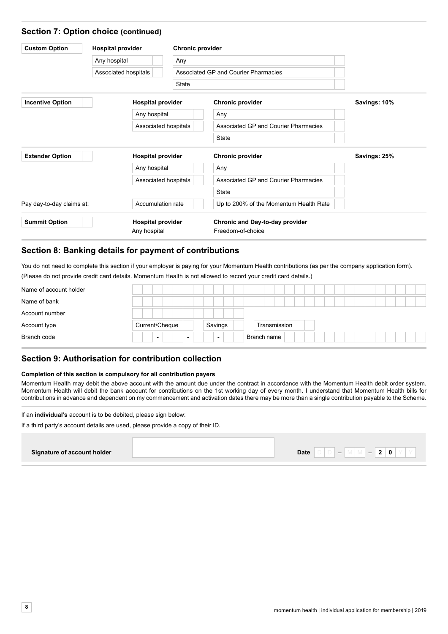| <b>Custom Option</b>      | <b>Hospital provider</b> | <b>Chronic provider</b> |                                        |              |
|---------------------------|--------------------------|-------------------------|----------------------------------------|--------------|
|                           | Any hospital             | Any                     |                                        |              |
|                           | Associated hospitals     |                         | Associated GP and Courier Pharmacies   |              |
|                           |                          | <b>State</b>            |                                        |              |
| <b>Incentive Option</b>   | <b>Hospital provider</b> |                         | Chronic provider                       | Savings: 10% |
|                           | Any hospital             |                         | Any                                    |              |
|                           |                          | Associated hospitals    | Associated GP and Courier Pharmacies   |              |
|                           |                          |                         | <b>State</b>                           |              |
| <b>Extender Option</b>    | <b>Hospital provider</b> |                         | <b>Chronic provider</b>                | Savings: 25% |
|                           | Any hospital             |                         | Any                                    |              |
|                           |                          | Associated hospitals    | Associated GP and Courier Pharmacies   |              |
|                           |                          |                         | <b>State</b>                           |              |
| Pay day-to-day claims at: | Accumulation rate        |                         | Up to 200% of the Momentum Health Rate |              |
| <b>Summit Option</b>      | <b>Hospital provider</b> |                         | Chronic and Day-to-day provider        |              |
|                           | Any hospital             |                         | Freedom-of-choice                      |              |

# **Section 8: Banking details for payment of contributions**

You do not need to complete this section if your employer is paying for your Momentum Health contributions (as per the company application form). (Please do not provide credit card details. Momentum Health is not allowed to record your credit card details.)

| Name of account holder |                                                      |                          |              |  |
|------------------------|------------------------------------------------------|--------------------------|--------------|--|
| Name of bank           |                                                      |                          |              |  |
| Account number         |                                                      |                          |              |  |
| Account type           | Current/Cheque                                       | Savings                  | Transmission |  |
| Branch code            | $\overline{\phantom{0}}$<br>$\overline{\phantom{0}}$ | $\overline{\phantom{0}}$ | Branch name  |  |

# **Section 9: Authorisation for contribution collection**

#### **Completion of this section is compulsory for all contribution payers**

Momentum Health may debit the above account with the amount due under the contract in accordance with the Momentum Health debit order system. Momentum Health will debit the bank account for contributions on the 1st working day of every month. I understand that Momentum Health bills for contributions in advance and dependent on my commencement and activation dates there may be more than a single contribution payable to the Scheme.

If an **individual's** account is to be debited, please sign below:

If a third party's account details are used, please provide a copy of their ID.

# **Signature of account holder Date** D D – M M – **2 0** Y Y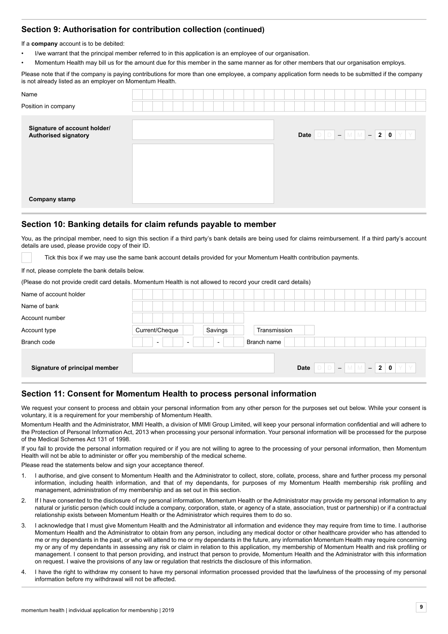# **Section 9: Authorisation for contribution collection (continued)**

If a **company** account is to be debited:

- I/we warrant that the principal member referred to in this application is an employee of our organisation.
- Momentum Health may bill us for the amount due for this member in the same manner as for other members that our organisation employs.

Please note that if the company is paying contributions for more than one employee, a company application form needs to be submitted if the company is not already listed as an employer on Momentum Health.

| Name<br>Position in company                          |                                                                                                                                                    |
|------------------------------------------------------|----------------------------------------------------------------------------------------------------------------------------------------------------|
| Signature of account holder/<br>Authorised signatory | Date $\boxed{\circ}$ $\boxed{\circ}$ $\boxed{-}$ $\boxed{\mathsf{M}}$ $\boxed{-}$ 2 $\boxed{\mathsf{0}}$ $\boxed{\mathsf{Y}}$ $\boxed{\mathsf{Y}}$ |
|                                                      |                                                                                                                                                    |
|                                                      |                                                                                                                                                    |
| <b>Company stamp</b>                                 |                                                                                                                                                    |

# **Section 10: Banking details for claim refunds payable to member**

You, as the principal member, need to sign this section if a third party's bank details are being used for claims reimbursement. If a third party's account details are used, please provide copy of their ID.

Tick this box if we may use the same bank account details provided for your Momentum Health contribution payments.

If not, please complete the bank details below.

(Please do not provide credit card details. Momentum Health is not allowed to record your credit card details)

| Name of account holder        |                                                      |                          |              |      |     |
|-------------------------------|------------------------------------------------------|--------------------------|--------------|------|-----|
| Name of bank                  |                                                      |                          |              |      |     |
| Account number                |                                                      |                          |              |      |     |
| Account type                  | Current/Cheque                                       | Savings                  | Transmission |      |     |
| Branch code                   | $\overline{\phantom{a}}$<br>$\overline{\phantom{0}}$ | $\overline{\phantom{0}}$ | Branch name  |      |     |
|                               |                                                      |                          |              |      |     |
| Signature of principal member |                                                      |                          |              | Date | Y Y |

# **Section 11: Consent for Momentum Health to process personal information**

We request your consent to process and obtain your personal information from any other person for the purposes set out below. While your consent is voluntary, it is a requirement for your membership of Momentum Health.

Momentum Health and the Administrator, MMI Health, a division of MMI Group Limited, will keep your personal information confidential and will adhere to the Protection of Personal Information Act, 2013 when processing your personal information. Your personal information will be processed for the purpose of the Medical Schemes Act 131 of 1998.

If you fail to provide the personal information required or if you are not willing to agree to the processing of your personal information, then Momentum Health will not be able to administer or offer you membership of the medical scheme.

Please read the statements below and sign your acceptance thereof.

- 1. I authorise, and give consent to Momentum Health and the Administrator to collect, store, collate, process, share and further process my personal information, including health information, and that of my dependants, for purposes of my Momentum Health membership risk profiling and management, administration of my membership and as set out in this section.
- 2. If I have consented to the disclosure of my personal information, Momentum Health or the Administrator may provide my personal information to any natural or juristic person (which could include a company, corporation, state, or agency of a state, association, trust or partnership) or if a contractual relationship exists between Momentum Health or the Administrator which requires them to do so.
- 3. I acknowledge that I must give Momentum Health and the Administrator all information and evidence they may require from time to time. I authorise Momentum Health and the Administrator to obtain from any person, including any medical doctor or other healthcare provider who has attended to me or my dependants in the past, or who will attend to me or my dependants in the future, any information Momentum Health may require concerning my or any of my dependants in assessing any risk or claim in relation to this application, my membership of Momentum Health and risk profiling or management. I consent to that person providing, and instruct that person to provide, Momentum Health and the Administrator with this information on request. I waive the provisions of any law or regulation that restricts the disclosure of this information.
- 4. I have the right to withdraw my consent to have my personal information processed provided that the lawfulness of the processing of my personal information before my withdrawal will not be affected.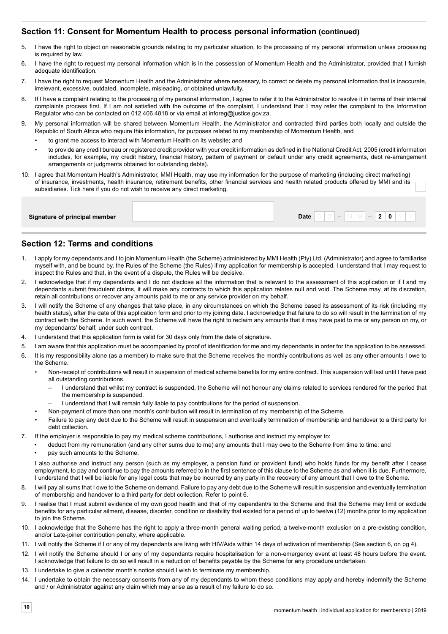# **Section 11: Consent for Momentum Health to process personal information (continued)**

- 5. I have the right to object on reasonable grounds relating to my particular situation, to the processing of my personal information unless processing is required by law.
- 6. I have the right to request my personal information which is in the possession of Momentum Health and the Administrator, provided that I furnish adequate identification.
- 7. I have the right to request Momentum Health and the Administrator where necessary, to correct or delete my personal information that is inaccurate, irrelevant, excessive, outdated, incomplete, misleading, or obtained unlawfully.
- 8. If I have a complaint relating to the processing of my personal information, I agree to refer it to the Administrator to resolve it in terms of their internal complaints process first. If I am not satisfied with the outcome of the complaint, I understand that I may refer the complaint to the Information Regulator who can be contacted on 012 406 4818 or via email at inforeg@justice.gov.za.
- 9. My personal information will be shared between Momentum Health, the Administrator and contracted third parties both locally and outside the Republic of South Africa who require this information, for purposes related to my membership of Momentum Health, and
	- to grant me access to interact with Momentum Health on its website; and
	- to provide any credit bureau or registered credit provider with your credit information as defined in the National Credit Act, 2005 (credit information includes, for example, my credit history, financial history, pattern of payment or default under any credit agreements, debt re-arrangement arrangements or judgments obtained for outstanding debts).
- 10. I agree that Momentum Health's Administrator, MMI Health, may use my information for the purpose of marketing (including direct marketing) of insurance, investments, health insurance, retirement benefits, other financial services and health related products offered by MMI and its subsidiaries. Tick here if you do not wish to receive any direct marketing.

# **Section 12: Terms and conditions**

- 1. I apply for my dependants and I to join Momentum Health (the Scheme) administered by MMI Health (Pty) Ltd. (Administrator) and agree to familiarise myself with, and be bound by, the Rules of the Scheme (the Rules) if my application for membership is accepted. I understand that I may request to inspect the Rules and that, in the event of a dispute, the Rules will be decisive.
- 2. I acknowledge that if my dependants and I do not disclose all the information that is relevant to the assessment of this application or if I and my dependants submit fraudulent claims, it will make any contracts to which this application relates null and void. The Scheme may, at its discretion, retain all contributions or recover any amounts paid to me or any service provider on my behalf.
- 3. I will notify the Scheme of any changes that take place, in any circumstances on which the Scheme based its assessment of its risk (including my health status), after the date of this application form and prior to my joining date. I acknowledge that failure to do so will result in the termination of my contract with the Scheme. In such event, the Scheme will have the right to reclaim any amounts that it may have paid to me or any person on my, or my dependants' behalf, under such contract.
- 4. I understand that this application form is valid for 30 days only from the date of signature.
- 5. I am aware that this application must be accompanied by proof of identification for me and my dependants in order for the application to be assessed.
- 6. It is my responsibility alone (as a member) to make sure that the Scheme receives the monthly contributions as well as any other amounts I owe to the Scheme.
	- Non-receipt of contributions will result in suspension of medical scheme benefits for my entire contract. This suspension will last until I have paid all outstanding contributions.
		- I understand that whilst my contract is suspended, the Scheme will not honour any claims related to services rendered for the period that the membership is suspended.
		- I understand that I will remain fully liable to pay contributions for the period of suspension.
	- Non-payment of more than one month's contribution will result in termination of my membership of the Scheme.
	- Failure to pay any debt due to the Scheme will result in suspension and eventually termination of membership and handover to a third party for debt collection.
- 7. If the employer is responsible to pay my medical scheme contributions, I authorise and instruct my employer to:
	- deduct from my remuneration (and any other sums due to me) any amounts that I may owe to the Scheme from time to time; and
	- pay such amounts to the Scheme.

I also authorise and instruct any person (such as my employer, a pension fund or provident fund) who holds funds for my benefit after I cease employment, to pay and continue to pay the amounts referred to in the first sentence of this clause to the Scheme as and when it is due. Furthermore, I understand that I will be liable for any legal costs that may be incurred by any party in the recovery of any amount that I owe to the Scheme.

- 8. I will pay all sums that I owe to the Scheme on demand. Failure to pay any debt due to the Scheme will result in suspension and eventually termination of membership and handover to a third party for debt collection. Refer to point 6.
- 9. I realise that I must submit evidence of my own good health and that of my dependant/s to the Scheme and that the Scheme may limit or exclude benefits for any particular ailment, disease, disorder, condition or disability that existed for a period of up to twelve (12) months prior to my application to join the Scheme.
- 10. I acknowledge that the Scheme has the right to apply a three-month general waiting period, a twelve-month exclusion on a pre-existing condition, and/or Late-joiner contribution penalty, where applicable.
- 11. I will notify the Scheme if I or any of my dependants are living with HIV/Aids within 14 days of activation of membership (See section 6, on pg 4).
- 12. I will notify the Scheme should I or any of my dependants require hospitalisation for a non-emergency event at least 48 hours before the event. I acknowledge that failure to do so will result in a reduction of benefits payable by the Scheme for any procedure undertaken.
- 13. I undertake to give a calendar month's notice should I wish to terminate my membership.
- 14. I undertake to obtain the necessary consents from any of my dependants to whom these conditions may apply and hereby indemnify the Scheme and / or Administrator against any claim which may arise as a result of my failure to do so.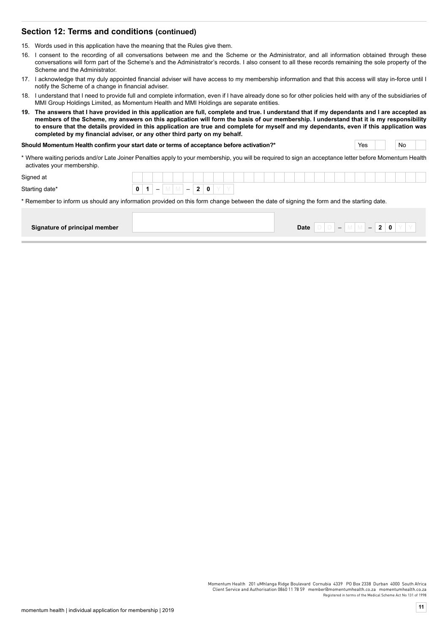### **Section 12: Terms and conditions (continued)**

15. Words used in this application have the meaning that the Rules give them.

- 16. I consent to the recording of all conversations between me and the Scheme or the Administrator, and all information obtained through these conversations will form part of the Scheme's and the Administrator's records. I also consent to all these records remaining the sole property of the Scheme and the Administrator.
- 17. I acknowledge that my duly appointed financial adviser will have access to my membership information and that this access will stay in-force until I notify the Scheme of a change in financial adviser.
- 18. I understand that I need to provide full and complete information, even if I have already done so for other policies held with any of the subsidiaries of MMI Group Holdings Limited, as Momentum Health and MMI Holdings are separate entities.
- **19. The answers that I have provided in this application are full, complete and true. I understand that if my dependants and I are accepted as members of the Scheme, my answers on this application will form the basis of our membership. I understand that it is my responsibility to ensure that the details provided in this application are true and complete for myself and my dependants, even if this application was completed by my financial adviser, or any other third party on my behalf.**

#### **Should Momentum Health confirm your start date or terms of acceptance before activation?\*** Yes Yes Yes No

\* Where waiting periods and/or Late Joiner Penalties apply to your membership, you will be required to sign an acceptance letter before Momentum Health activates your membership.

| Signed at      |   |  |             |   |  |  |  |  |  |  |  |  |  |
|----------------|---|--|-------------|---|--|--|--|--|--|--|--|--|--|
| Starting date* | 0 |  | $\sim$<br>0 | Υ |  |  |  |  |  |  |  |  |  |

\* Remember to inform us should any information provided on this form change between the date of signing the form and the starting date.

| Signature of principal member | <b>Date</b><br> |
|-------------------------------|-----------------|
|-------------------------------|-----------------|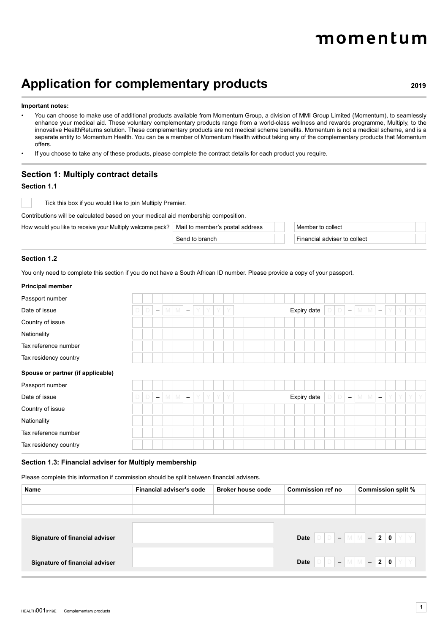# momentum

# **Application for complementary products <sup>2019</sup>**

#### **Important notes:**

- You can choose to make use of additional products available from Momentum Group, a division of MMI Group Limited (Momentum), to seamlessly enhance your medical aid. These voluntary complementary products range from a world-class wellness and rewards programme, Multiply, to the innovative HealthReturns solution. These complementary products are not medical scheme benefits. Momentum is not a medical scheme, and is a separate entity to Momentum Health. You can be a member of Momentum Health without taking any of the complementary products that Momentum offers.
- If you choose to take any of these products, please complete the contract details for each product you require.

#### **Section 1: Multiply contract details**

#### **Section 1.1**

Tick this box if you would like to join Multiply Premier.

Contributions will be calculated based on your medical aid membership composition.

How would you like to receive your Multiply welcome pack?  $\mid$  Mail to member's postal address

Send to branch

| Member to collect            |  |
|------------------------------|--|
| Financial adviser to collect |  |

#### **Section 1.2**

You only need to complete this section if you do not have a South African ID number. Please provide a copy of your passport.

#### **Principal member**

| Passport number                   |   |        |                          |   |   |                          |   |   |   |   |  |  |  |             |  |  |                          |   |   |                          |  |     |   |
|-----------------------------------|---|--------|--------------------------|---|---|--------------------------|---|---|---|---|--|--|--|-------------|--|--|--------------------------|---|---|--------------------------|--|-----|---|
| Date of issue                     | D | $\Box$ | $\overline{\phantom{m}}$ | M | M | $\overline{\phantom{m}}$ | Y | Y | Y | Y |  |  |  | Expiry date |  |  | $\overline{\phantom{a}}$ | M | M | $\overline{\phantom{a}}$ |  | YYY | Y |
| Country of issue                  |   |        |                          |   |   |                          |   |   |   |   |  |  |  |             |  |  |                          |   |   |                          |  |     |   |
| Nationality                       |   |        |                          |   |   |                          |   |   |   |   |  |  |  |             |  |  |                          |   |   |                          |  |     |   |
| Tax reference number              |   |        |                          |   |   |                          |   |   |   |   |  |  |  |             |  |  |                          |   |   |                          |  |     |   |
| Tax residency country             |   |        |                          |   |   |                          |   |   |   |   |  |  |  |             |  |  |                          |   |   |                          |  |     |   |
| Spouse or partner (if applicable) |   |        |                          |   |   |                          |   |   |   |   |  |  |  |             |  |  |                          |   |   |                          |  |     |   |
| Passport number                   |   |        |                          |   |   |                          |   |   |   |   |  |  |  |             |  |  |                          |   |   |                          |  |     |   |
| Date of issue                     | D | $\Box$ | $\overline{\phantom{0}}$ | M | M | $\overline{\phantom{a}}$ | Y | Y | Y | Y |  |  |  | Expiry date |  |  | $\overline{\phantom{m}}$ | M | M | $\overline{\phantom{a}}$ |  | YYY |   |
| Country of issue                  |   |        |                          |   |   |                          |   |   |   |   |  |  |  |             |  |  |                          |   |   |                          |  |     |   |
| Nationality                       |   |        |                          |   |   |                          |   |   |   |   |  |  |  |             |  |  |                          |   |   |                          |  |     |   |
| Tax reference number              |   |        |                          |   |   |                          |   |   |   |   |  |  |  |             |  |  |                          |   |   |                          |  |     |   |
| Tax residency country             |   |        |                          |   |   |                          |   |   |   |   |  |  |  |             |  |  |                          |   |   |                          |  |     |   |

#### **Section 1.3: Financial adviser for Multiply membership**

Please complete this information if commission should be split between financial advisers.

| Name                           | Financial adviser's code | <b>Broker house code</b> | Commission ref no | Commission split %                                                                                                                                                                                                                                                                                                  |
|--------------------------------|--------------------------|--------------------------|-------------------|---------------------------------------------------------------------------------------------------------------------------------------------------------------------------------------------------------------------------------------------------------------------------------------------------------------------|
|                                |                          |                          |                   |                                                                                                                                                                                                                                                                                                                     |
|                                |                          |                          |                   |                                                                                                                                                                                                                                                                                                                     |
|                                |                          |                          |                   |                                                                                                                                                                                                                                                                                                                     |
| Signature of financial adviser |                          |                          |                   | Date $\bigcap_{i=1}^n$ $\bigcap_{i=1}^n$ $\bigcup_{i=1}^n$ $\bigcup_{i=1}^n$ $\bigcup_{i=1}^n$ $\bigcup_{i=1}^n$ $\bigcup_{i=1}^n$ $\bigcup_{i=1}^n$ $\bigcap_{i=1}^n$ $\bigcap_{i=1}^n$ $\bigcap_{i=1}^n$ $\bigcap_{i=1}^n$ $\bigcap_{i=1}^n$ $\bigcap_{i=1}^n$ $\bigcap_{i=1}^n$ $\bigcap_{i=1}^n$ $\bigcap_{i=1$ |
| Signature of financial adviser |                          |                          |                   | Date $\boxed{\circ}$ $\boxed{\circ}$ $\boxed{-}$ $\boxed{\mathsf{M}}$ $\boxed{\mathsf{M}}$ $\boxed{-}$ 2 $\boxed{\mathsf{0}}$ $\boxed{\mathsf{Y}}$ $\boxed{\mathsf{Y}}$                                                                                                                                             |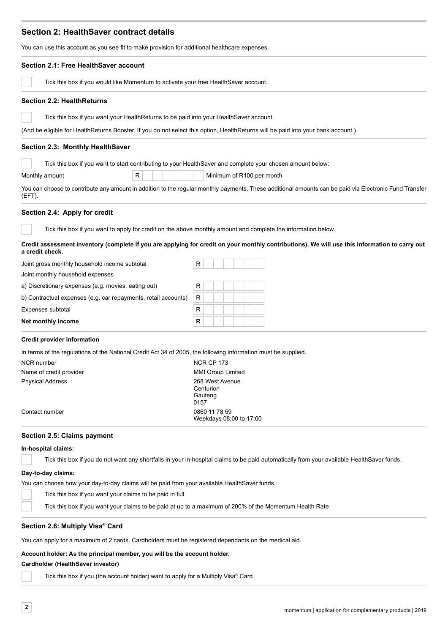# **Section 2: HealthSaver contract details**

You can use this account as you see fit to make provision for additional healthcare expenses.

| Section 2.1: Free HealthSaver account                                                                                             |                                                                                                                                                        |
|-----------------------------------------------------------------------------------------------------------------------------------|--------------------------------------------------------------------------------------------------------------------------------------------------------|
| Tick this box if you would like Momentum to activate your free Health Saver account.                                              |                                                                                                                                                        |
| <b>Section 2.2: HealthReturns</b>                                                                                                 |                                                                                                                                                        |
| Tick this box if you want your HealthReturns to be paid into your HealthSaver account.                                            |                                                                                                                                                        |
| (And be eligible for HealthReturns Booster. If you do not select this option, HealthReturns will be paid into your bank account.) |                                                                                                                                                        |
| Section 2.3: Monthly HealthSaver                                                                                                  |                                                                                                                                                        |
| Tick this box if you want to start contributing to your Health Saver and complete your chosen amount below:                       |                                                                                                                                                        |
| R<br>Monthly amount                                                                                                               | Minimum of R100 per month                                                                                                                              |
| (EFT).                                                                                                                            | You can choose to contribute any amount in addition to the regular monthly payments. These additional amounts can be paid via Electronic Fund Transfer |
| Section 2.4: Apply for credit                                                                                                     |                                                                                                                                                        |
|                                                                                                                                   | Tick this box if you want to apply for credit on the above monthly amount and complete the information below.                                          |
| a credit check.                                                                                                                   | Credit assessment inventory (complete if you are applying for credit on your monthly contributions). We will use this information to carry out         |
| Joint gross monthly household income subtotal                                                                                     | R                                                                                                                                                      |
| Joint monthly household expenses                                                                                                  |                                                                                                                                                        |
| a) Discretionary expenses (e.g. movies, eating out)                                                                               | R                                                                                                                                                      |
| b) Contractual expenses (e.g. car repayments, retail accounts)                                                                    | $\mathsf R$                                                                                                                                            |
| Expenses subtotal                                                                                                                 | R                                                                                                                                                      |
| Net monthly income                                                                                                                | $\mathsf R$                                                                                                                                            |
| <b>Credit provider information</b>                                                                                                |                                                                                                                                                        |
| In terms of the regulations of the National Credit Act 34 of 2005, the following information must be supplied.                    |                                                                                                                                                        |
| <b>NCR</b> number                                                                                                                 | <b>NCR CP 173</b>                                                                                                                                      |
| Name of credit provider                                                                                                           | <b>MMI Group Limited</b>                                                                                                                               |
| <b>Physical Address</b>                                                                                                           | 268 West Avenue<br>Centurion<br>Gauteng<br>0157                                                                                                        |
| Contact number                                                                                                                    | 0860 11 78 59<br>Weekdays 08:00 to 17:00                                                                                                               |
| Section 2.5: Claims payment                                                                                                       |                                                                                                                                                        |
| In-hospital claims:                                                                                                               |                                                                                                                                                        |
|                                                                                                                                   | Tick this box if you do not want any shortfalls in your in-hospital claims to be paid automatically from your available HealthSaver funds.             |
| Day-to-day claims:                                                                                                                |                                                                                                                                                        |
| You can choose how your day-to-day claims will be paid from your available HealthSaver funds.                                     |                                                                                                                                                        |
| Tick this box if you want your claims to be paid in full                                                                          |                                                                                                                                                        |
| Tick this box if you want your claims to be paid at up to a maximum of 200% of the Momentum Health Rate                           |                                                                                                                                                        |

#### **Section 2.6: Multiply Visa® Card**

You can apply for a maximum of 2 cards. Cardholders must be registered dependants on the medical aid.

## **Account holder: As the principal member, you will be the account holder.**

# **Cardholder (HealthSaver investor)**

Tick this box if you (the account holder) want to apply for a Multiply Visa® Card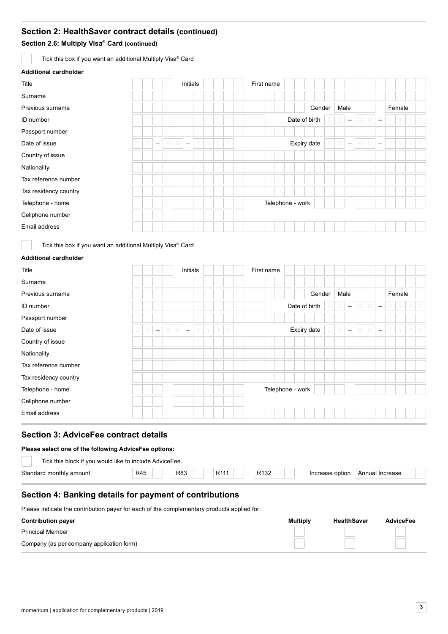# **Section 2: HealthSaver contract details (continued)**

**Section 2.6: Multiply Visa® Card (continued)** 

Tick this box if you want an additional Multiply Visa® Card

#### **Additional cardholder**

| Title                 |        |                          |     | Initials                 |   |   |   |  | First name |                  |  |               |        |                          |   |     |                          |   |        |    |    |
|-----------------------|--------|--------------------------|-----|--------------------------|---|---|---|--|------------|------------------|--|---------------|--------|--------------------------|---|-----|--------------------------|---|--------|----|----|
| Surname               |        |                          |     |                          |   |   |   |  |            |                  |  |               |        |                          |   |     |                          |   |        |    |    |
| Previous surname      |        |                          |     |                          |   |   |   |  |            |                  |  |               | Gender | Male                     |   |     |                          |   | Female |    |    |
| ID number             |        |                          |     |                          |   |   |   |  |            |                  |  | Date of birth |        | $\overline{\phantom{m}}$ | M | M   | $\overline{\phantom{m}}$ | Y | Y      |    |    |
| Passport number       |        |                          |     |                          |   |   |   |  |            |                  |  |               |        |                          |   |     |                          |   |        |    |    |
| Date of issue         | $\Box$ | $\overline{\phantom{m}}$ | M M | $\overline{\phantom{m}}$ | Y | Y | Y |  |            |                  |  | Expiry date   |        | $\overline{\phantom{m}}$ |   | M M | $\overline{\phantom{m}}$ | Y | Y      | Y. | Y. |
| Country of issue      |        |                          |     |                          |   |   |   |  |            |                  |  |               |        |                          |   |     |                          |   |        |    |    |
| Nationality           |        |                          |     |                          |   |   |   |  |            |                  |  |               |        |                          |   |     |                          |   |        |    |    |
| Tax reference number  |        |                          |     |                          |   |   |   |  |            |                  |  |               |        |                          |   |     |                          |   |        |    |    |
| Tax residency country |        |                          |     |                          |   |   |   |  |            |                  |  |               |        |                          |   |     |                          |   |        |    |    |
| Telephone - home      |        |                          |     |                          |   |   |   |  |            | Telephone - work |  |               |        |                          |   |     |                          |   |        |    |    |
| Cellphone number      |        |                          |     |                          |   |   |   |  |            |                  |  |               |        |                          |   |     |                          |   |        |    |    |
| Email address         |        |                          |     |                          |   |   |   |  |            |                  |  |               |        |                          |   |     |                          |   |        |    |    |

Tick this box if you want an additional Multiply Visa® Card

#### **Additional cardholder**

| Title                 |                               |   |       | Initials                 |   |   |   |   |  | First name       |  |               |        |      |                          |         |                          |   |        |   |  |
|-----------------------|-------------------------------|---|-------|--------------------------|---|---|---|---|--|------------------|--|---------------|--------|------|--------------------------|---------|--------------------------|---|--------|---|--|
| Surname               |                               |   |       |                          |   |   |   |   |  |                  |  |               |        |      |                          |         |                          |   |        |   |  |
| Previous surname      |                               |   |       |                          |   |   |   |   |  |                  |  |               | Gender | Male |                          |         |                          |   | Female |   |  |
| ID number             |                               |   |       |                          |   |   |   |   |  |                  |  | Date of birth |        |      | $\overline{\phantom{m}}$ | $M$ $M$ | $\overline{\phantom{a}}$ |   |        |   |  |
| Passport number       |                               |   |       |                          |   |   |   |   |  |                  |  |               |        |      |                          |         |                          |   |        |   |  |
| Date of issue         | D<br>$\overline{\phantom{m}}$ | M | - IVI | $\overline{\phantom{m}}$ | Y | Y | Y | Y |  |                  |  | Expiry date   |        |      | $\overline{\phantom{m}}$ | $M$ $M$ | $\overline{\phantom{a}}$ | Y | Y      | Y |  |
| Country of issue      |                               |   |       |                          |   |   |   |   |  |                  |  |               |        |      |                          |         |                          |   |        |   |  |
| Nationality           |                               |   |       |                          |   |   |   |   |  |                  |  |               |        |      |                          |         |                          |   |        |   |  |
| Tax reference number  |                               |   |       |                          |   |   |   |   |  |                  |  |               |        |      |                          |         |                          |   |        |   |  |
| Tax residency country |                               |   |       |                          |   |   |   |   |  |                  |  |               |        |      |                          |         |                          |   |        |   |  |
| Telephone - home      |                               |   |       |                          |   |   |   |   |  | Telephone - work |  |               |        |      |                          |         |                          |   |        |   |  |
| Cellphone number      |                               |   |       |                          |   |   |   |   |  |                  |  |               |        |      |                          |         |                          |   |        |   |  |
| Email address         |                               |   |       |                          |   |   |   |   |  |                  |  |               |        |      |                          |         |                          |   |        |   |  |

# **Section 3: AdviceFee contract details**

#### **Please select one of the following AdviceFee options:**

| Tick this block if you would like to include AdviceFee. |     |     |      |                  |          |                      |
|---------------------------------------------------------|-----|-----|------|------------------|----------|----------------------|
| Standard monthly amount                                 | R45 | R83 | D444 | R <sub>132</sub> | : option | Annual<br>I Increase |
|                                                         |     |     |      |                  |          |                      |

# **Section 4: Banking details for payment of contributions**

Please indicate the contribution payer for each of the complementary products applied for:

| <b>Contribution payer</b>                 | <b>Multiply</b> | <b>HealthSaver</b> | <b>AdviceFee</b> |  |  |  |
|-------------------------------------------|-----------------|--------------------|------------------|--|--|--|
| <b>Principal Member</b>                   |                 |                    |                  |  |  |  |
| Company (as per company application form) |                 |                    |                  |  |  |  |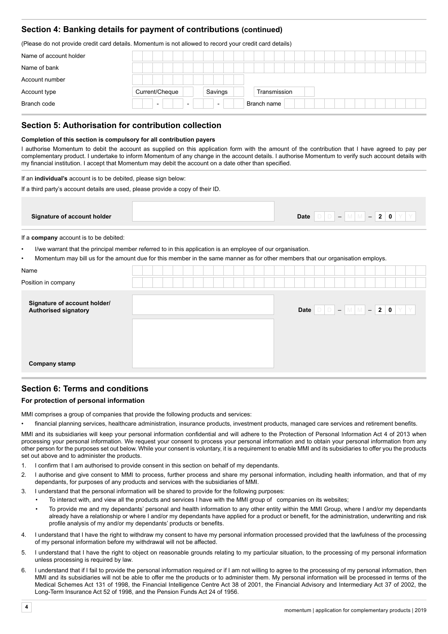# **Section 4: Banking details for payment of contributions (continued)**

(Please do not provide credit card details. Momentum is not allowed to record your credit card details)

| Name of account holder |                                                      |                          |              |  |
|------------------------|------------------------------------------------------|--------------------------|--------------|--|
| Name of bank           |                                                      |                          |              |  |
| Account number         |                                                      |                          |              |  |
| Account type           | Current/Cheque                                       | Savings                  | Transmission |  |
| Branch code            | $\overline{\phantom{0}}$<br>$\overline{\phantom{0}}$ | $\overline{\phantom{0}}$ | Branch name  |  |

### **Section 5: Authorisation for contribution collection**

#### **Completion of this section is compulsory for all contribution payers**

I authorise Momentum to debit the account as supplied on this application form with the amount of the contribution that I have agreed to pay per complementary product. I undertake to inform Momentum of any change in the account details. I authorise Momentum to verify such account details with my financial institution. I accept that Momentum may debit the account on a date other than specified.

If an **individual's** account is to be debited, please sign below:

If a third party's account details are used, please provide a copy of their ID.

| Signature of account holder | <b>Date</b><br>Ü<br>- |
|-----------------------------|-----------------------|

If a **company** account is to be debited:

• I/we warrant that the principal member referred to in this application is an employee of our organisation.

• Momentum may bill us for the amount due for this member in the same manner as for other members that our organisation employs.

| Name                                                        |                                                          |
|-------------------------------------------------------------|----------------------------------------------------------|
| Position in company                                         |                                                          |
| Signature of account holder/<br><b>Authorised signatory</b> | $D   D   =   M   M   =   2   0   Y   Y  $<br><b>Date</b> |
| <b>Company stamp</b>                                        |                                                          |

# **Section 6: Terms and conditions**

#### **For protection of personal information**

MMI comprises a group of companies that provide the following products and services:

• financial planning services, healthcare administration, insurance products, investment products, managed care services and retirement benefits.

MMI and its subsidiaries will keep your personal information confidential and will adhere to the Protection of Personal Information Act 4 of 2013 when processing your personal information. We request your consent to process your personal information and to obtain your personal information from any other person for the purposes set out below. While your consent is voluntary, it is a requirement to enable MMI and its subsidiaries to offer you the products set out above and to administer the products.

- 1. I confirm that I am authorised to provide consent in this section on behalf of my dependants.
- 2. I authorise and give consent to MMI to process, further process and share my personal information, including health information, and that of my dependants, for purposes of any products and services with the subsidiaries of MMI.
- 3. I understand that the personal information will be shared to provide for the following purposes:
	- To interact with, and view all the products and services I have with the MMI group of companies on its websites;
		- To provide me and my dependants' personal and health information to any other entity within the MMI Group, where I and/or my dependants already have a relationship or where I and/or my dependants have applied for a product or benefit, for the administration, underwriting and risk profile analysis of my and/or my dependants' products or benefits.
- 4. I understand that I have the right to withdraw my consent to have my personal information processed provided that the lawfulness of the processing of my personal information before my withdrawal will not be affected.
- 5. I understand that I have the right to object on reasonable grounds relating to my particular situation, to the processing of my personal information unless processing is required by law.
- 6. I understand that if I fail to provide the personal information required or if I am not willing to agree to the processing of my personal information, then MMI and its subsidiaries will not be able to offer me the products or to administer them. My personal information will be processed in terms of the Medical Schemes Act 131 of 1998, the Financial Intelligence Centre Act 38 of 2001, the Financial Advisory and Intermediary Act 37 of 2002, the Long-Term Insurance Act 52 of 1998, and the Pension Funds Act 24 of 1956.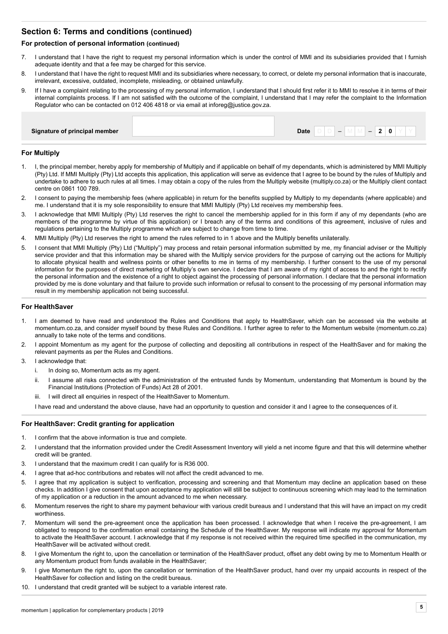# **Section 6: Terms and conditions (continued)**

#### **For protection of personal information (continued)**

- 7. I understand that I have the right to request my personal information which is under the control of MMI and its subsidiaries provided that I furnish adequate identity and that a fee may be charged for this service.
- 8. I understand that I have the right to request MMI and its subsidiaries where necessary, to correct, or delete my personal information that is inaccurate, irrelevant, excessive, outdated, incomplete, misleading, or obtained unlawfully.
- 9. If I have a complaint relating to the processing of my personal information, I understand that I should first refer it to MMI to resolve it in terms of their internal complaints process. If I am not satisfied with the outcome of the complaint, I understand that I may refer the complaint to the Information Regulator who can be contacted on 012 406 4818 or via email at inforeg@justice.gov.za.

| Signature of principal member | Date<br>0 |
|-------------------------------|-----------|
|                               |           |

#### **For Multiply**

- 1. I, the principal member, hereby apply for membership of Multiply and if applicable on behalf of my dependants, which is administered by MMI Multiply (Pty) Ltd. If MMI Multiply (Pty) Ltd accepts this application, this application will serve as evidence that I agree to be bound by the rules of Multiply and undertake to adhere to such rules at all times. I may obtain a copy of the rules from the Multiply website (multiply.co.za) or the Multiply client contact centre on 0861 100 789.
- 2. I consent to paying the membership fees (where applicable) in return for the benefits supplied by Multiply to my dependants (where applicable) and me. I understand that it is my sole responsibility to ensure that MMI Multiply (Pty) Ltd receives my membership fees.
- 3. I acknowledge that MMI Multiply (Pty) Ltd reserves the right to cancel the membership applied for in this form if any of my dependants (who are members of the programme by virtue of this application) or I breach any of the terms and conditions of this agreement, inclusive of rules and regulations pertaining to the Multiply programme which are subject to change from time to time.
- 4. MMI Multiply (Pty) Ltd reserves the right to amend the rules referred to in 1 above and the Multiply benefits unilaterally.
- 5. I consent that MMI Multiply (Pty) Ltd ("Multiply") may process and retain personal information submitted by me, my financial adviser or the Multiply service provider and that this information may be shared with the Multiply service providers for the purpose of carrying out the actions for Multiply to allocate physical health and wellness points or other benefits to me in terms of my membership. I further consent to the use of my personal information for the purposes of direct marketing of Multiply's own service. I declare that I am aware of my right of access to and the right to rectify the personal information and the existence of a right to object against the processing of personal information. I declare that the personal information provided by me is done voluntary and that failure to provide such information or refusal to consent to the processing of my personal information may result in my membership application not being successful.

#### **For HealthSaver**

- 1. I am deemed to have read and understood the Rules and Conditions that apply to HealthSaver, which can be accessed via the website at momentum.co.za, and consider myself bound by these Rules and Conditions. I further agree to refer to the Momentum website (momentum.co.za) annually to take note of the terms and conditions.
- 2. I appoint Momentum as my agent for the purpose of collecting and depositing all contributions in respect of the HealthSaver and for making the relevant payments as per the Rules and Conditions.
- 3. I acknowledge that:
	- i. In doing so, Momentum acts as my agent.
	- ii. I assume all risks connected with the administration of the entrusted funds by Momentum, understanding that Momentum is bound by the Financial Institutions (Protection of Funds) Act 28 of 2001.
	- iii. I will direct all enquiries in respect of the HealthSaver to Momentum.
	- I have read and understand the above clause, have had an opportunity to question and consider it and I agree to the consequences of it.

#### **For HealthSaver: Credit granting for application**

- 1. I confirm that the above information is true and complete.
- 2. I understand that the information provided under the Credit Assessment Inventory will yield a net income figure and that this will determine whether credit will be granted.
- 3. I understand that the maximum credit I can qualify for is R36 000.
- 4. I agree that ad-hoc contributions and rebates will not affect the credit advanced to me.
- 5. I agree that my application is subject to verification, processing and screening and that Momentum may decline an application based on these checks. In addition I give consent that upon acceptance my application will still be subject to continuous screening which may lead to the termination of my application or a reduction in the amount advanced to me when necessary.
- 6. Momentum reserves the right to share my payment behaviour with various credit bureaus and I understand that this will have an impact on my credit worthiness.
- 7. Momentum will send the pre-agreement once the application has been processed. I acknowledge that when I receive the pre-agreement, I am obligated to respond to the confirmation email containing the Schedule of the HealthSaver. My response will indicate my approval for Momentum to activate the HealthSaver account. I acknowledge that if my response is not received within the required time specified in the communication, my HealthSaver will be activated without credit.
- 8. I give Momentum the right to, upon the cancellation or termination of the HealthSaver product, offset any debt owing by me to Momentum Health or any Momentum product from funds available in the HealthSaver;
- 9. I give Momentum the right to, upon the cancellation or termination of the HealthSaver product, hand over my unpaid accounts in respect of the HealthSaver for collection and listing on the credit bureaus.
- 10. I understand that credit granted will be subject to a variable interest rate.